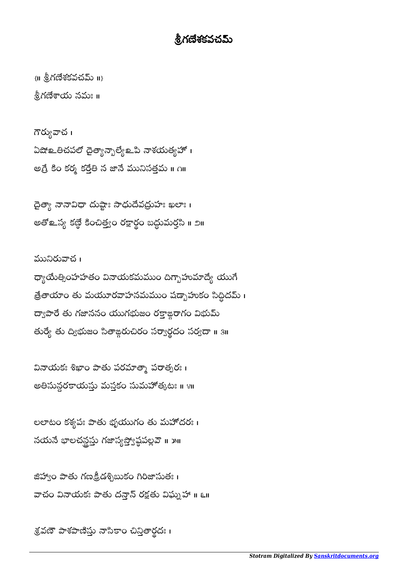## .శి.గణేశకవచమ్

 $\{ \textsf{II} \text{ } \overset{5}{\mathbf{2}} \textsf{N} \}$ దేశకవచమ్ $\textsf{II} \}$ 

నీగణేశాయ నమః ॥

గౌర్యువాచ । ఏషో లతిచపలో దైత్యాన్బాల్యే లేవి నాశయత్యహో । అగ్రే కిం కర్మ కర్తేతి న జానే మునిసత్తమ ॥ ౧॥

డైత్యా నానావిధా దుష్టాః సాధుదేవద్రుహః ఖలాః । అతొల్ప్య కణ్ఠె కించిత్త్వం రక్షార్థం బద్ధుమర్త్లపి ॥ ౨॥ **.** 

మునిరువాచ ၊ ధ్యాయేత్సింహహతం వినాయకమముం దిగ్భాహుమాద్యే యుగే త్రేతాయాం తు మయూరవాహనమముం షడ్బాహుకం సిద్ధీదమ్ । ద్యాపారే తు గజాననం యుగభుజం రక్తాజ్గరాగం విభుమ్ తుర్యే తు ద్విభుజం సితాఙ్ధరుచిరం సర్వార్థదం సర్వదా ॥ 3॥

వినాయకః శిఖాం పాతు పరమాత్మా పరాత్పరః । అతిసున్ధరకాయస్తు మస్తకం సుమహోత్కటః ॥ ४॥

లలాటం కశ్వపః పాతు భృయుగం తు మహోదరః । నయనే భాలచన్ధస్తు గజాస్యస్త్యోష్ఠపల్లవె ॥ ౫॥

జిహ్వాం పాతు గణక్రీడశ్చిబుకం గిరిజాసుతః । వాచం వినాయకః పాతు దన్తాన్ రక్షతు విఘ్నహా ॥ ౬॥

శ్రవణో పాశపాణిస్తు నాసకాం చిన్తితార్థదః ।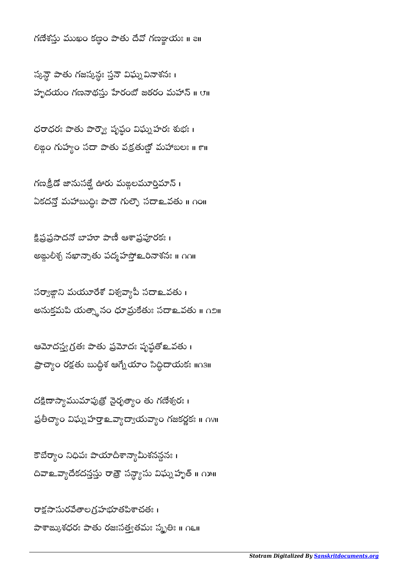రాక్షసాసురవేతాలగ్రహభూతపిశాచతః । పాశాఙ్కుశధరః పాతు రజఃసత్త్వతమః స్మృతిః ॥ <mark>౧</mark>౬॥

కౌబేర్యాం నిధిపః పాయాదీశాన్యామీశనన్ధనః। దివాஉవ్యాదేకదన్తప్తు రాత్రౌ సన్ద్యాసు విఘ్నహృత్ ॥ ౧౫॥

దక్షిణాస్యాముమాపుత్రో నైరృత్యాం తు గణేశ్వరః । ప్రతీచ్యాం విఘ్నహర్తా బ్యాద్యాయవ్యాం గజకర్ణకః ॥ ∩४॥

ఆమోదస్త్వగ్రతః పాతు ప్రమోదః పృష్ఠతో ఒవతు। ప్రాచ్యాం రక్షతు బుద్ధిశ ఆగ్నేయాం సిద్ధీదాయకః ॥౧౩॥

సర్వాజ్గాని మయూరేశో విశ్వవ్యాపీ సదాలవతు। అనుక్తమపి యత్నానం ధూమ్రకేతుః సదాஉవతు ॥ ౧౨॥

క్షిప్రప్రసాదనో బాహూ పాణీ ఆశాప్రపూరకః । అఙ్గులీశ్చ నఖాన్నాతు పద్మహస్తో உరినాశనః ॥ ∩∩॥

గణక్రిడో జానుసజ్ఘే ఊరు మఙ్గలమూర్తిమాన్ । ఏకదన్తో మహాబుద్ధీః పాదౌ గుల్ఫౌ సదాஉవతు ॥ ౧౦॥

ధరాధరః పాతు పార్శ్వౌ పృష్ఠం విఘ్న హరః శుభః । లిజ్గం గుహ్యం సదా పాతు వక్రతుణ్ణో మహాబలః ॥ ౯॥

స్కన్తో పాతు గజస్కన్లః స్తనే విఘ్నవినాశనః । హృదయం గణనాథసు హేరంబో జఠరం మహాన్ ॥ ए॥

 $\kappa$ గణేశస్తు ముఖం కణ్ణం పాతు దేవో గణఞయః ॥ all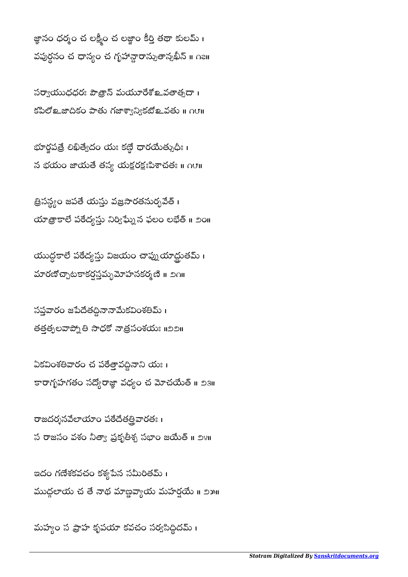మహ్యం స ప్రాహ కృపయా కవచం సర్వసిద్ధీదమ్ ।

ఇదం గణేశకవచం కశ్యపేన సమీరితమ్ । ముద్దలాయ చ తే నాథ మాణ్డవ్యాయ మహర్షయే ॥ ౨౫॥

రాజదర్శనవేలాయాం పఠేదేతత్రివారతః । స రాజసం వశం నీత్యా ప్రకృతీశ్చ సభాం జయేత్ ॥ ౨౪॥

ఏకవింశతివారం చ పఠేత్తావద్దినాని యః । కారాగృహగతం సద్యోరాజ్ఞా వధ్యం చ మోచయేత్ ॥ ౨౩॥

సప్తవారం జపేదేతద్దినానామేకవింశతిమ్ । తత్తత్వలవాప్ని తి సాధకో నాత్రసంశయః ॥౨౨॥

యుద్ధకాలే పఠేద్యస్తు విజయం చాప్నుయాద్ధుతమ్ । మారణోచ్చాటకాకర్షస్తవ్బమోహనకర్మణి ॥ ౨౧॥

త్రిసన్ట్యం జపతే యస్తు వజ్రసారతనుర్భవేత్ । యాత్రాకాలే పఠేద్యస్తు నిర్విఘ్నే ఫలం లభేత్ ॥ ౨ం॥

భూర్హపత్రే లిఖిత్వేదం యః కణ్ణే ధారయేత్సుధీః। న భయం జాయతే తస్య యక్షరక్షఃపిశాచతః ॥  $\alpha$ ౮॥

సర్వాయుధధరః పౌత్రాస్ మయూరేశో లవతాత్సదా । కపిలో உజాదికం పాతు గజాశ్వాన్యికటో உవతు ॥ ∩౮॥

జ్ఞానం ధర్మం చ లక్ష్మీం చ లజ్జాం కీర్తి తథా కులమ్ । వపుర్ధనం చ ధాన్యం చ గృహాన్దారాన్నుతాన్నఖీన్ ။ ౧౭॥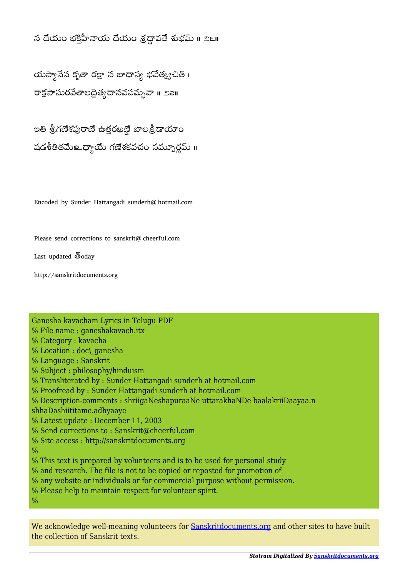## న దేయం భక్తిహీనాయ దేయం శ్రద్ధావతే శుభమ్ ॥ ౨౬॥

యస్యానేన కృతా రక్షా న బాధాస్య భవేత్క్వచిత్ <mark>।</mark> రాక్షసాసురవేతాలదైత్వదాసవసమృవా ॥ ౨౭॥

ఇతి శ్రీగణేశపురాణే ఉత్తరఖణ్ణే బాలక్రీడాయాం షడశీతితమే లా దాయి గణేశకవచం సమ్పూర్ణమ్ ॥

Encoded by Sunder Hattangadi sunderh@hotmail.com

Please send corrections to sanskrit@cheerful.com

Ganesha kavacham Lyrics in Telugu PDF

Last updated  $\bar{5}$ oday

http://sanskritdocuments.org

% File name : ganeshakavach.itx % Category : kavacha % Location : doc\ ganesha % Language : Sanskrit % Subject : philosophy/hinduism % Transliterated by : Sunder Hattangadi sunderh at hotmail.com % Proofread by : Sunder Hattangadi sunderh at hotmail.com % Description-comments : shriigaNeshapuraaNe uttarakhaNDe baalakriiDaayaa.n shhaDashiititame.adhyaaye % Latest update : December 11, 2003 % Send corrections to : Sanskrit@cheerful.com % Site access : http://sanskritdocuments.org  $\frac{0}{0}$ % This text is prepared by volunteers and is to be used for personal study % and research. The file is not to be copied or reposted for promotion of % any website or individuals or for commercial purpose without permission. % Please help to maintain respect for volunteer spirit.  $\frac{0}{0}$ 

We acknowledge well-meaning volunteers for **Sanskritdocuments.org** and other sites to have built the collection of Sanskrit texts.